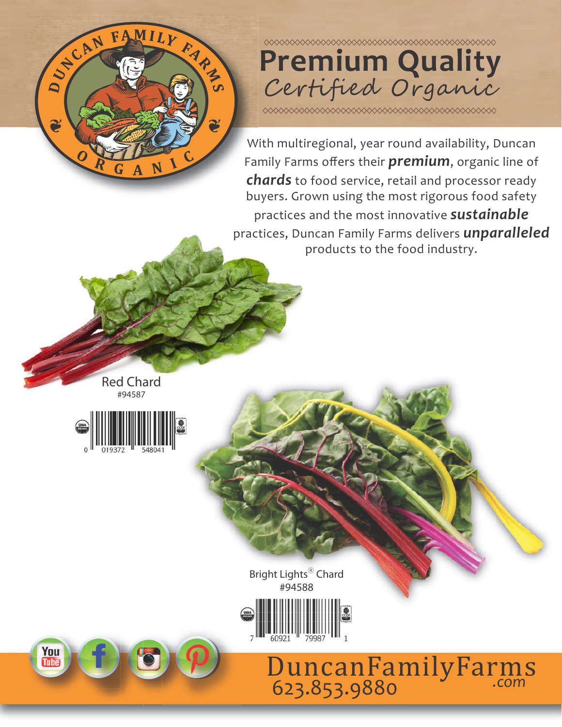

## **Premium Quality** Certified Organic

With multiregional, year round availability, Duncan Family Farms offers their **premium**, organic line of *chards* to food service, retail and processor ready buyers. Grown using the most rigorous food safety practices and the most innovative *sustainable* practices, Duncan Family Farms delivers *unparalleled* products to the food industry.

Red Chard #94587



Bright Lights<sup>®</sup> Chard #94588



**You**<br>Tube

*.com* 623.853.9880 DuncanFamilyFarms